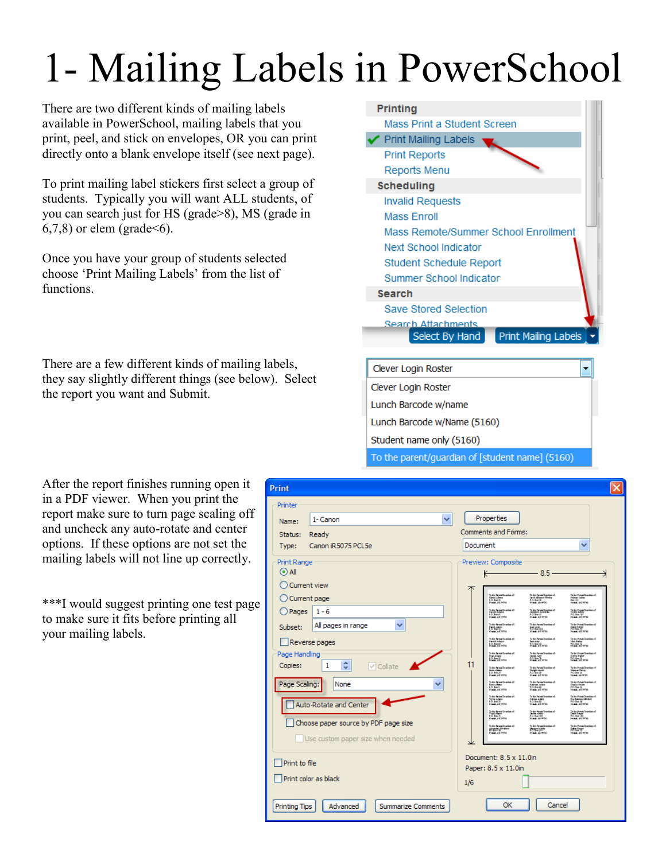## 1- Mailing Labels in PowerSchool

There are two different kinds of mailing labels available in PowerSchool, mailing labels that you print, peel, and stick on envelopes, OR you can print directly onto a blank envelope itself (see next page).

To print mailing label stickers first select a group of students. Typically you will want ALL students, of you can search just for HS (grade>8), MS (grade in  $(6,7,8)$  or elem (grade  $\leq 6$ ).

Once you have your group of students selected choose 'Print Mailing Labels' from the list of functions.

There are a few different kinds of mailing labels, they say slightly different things (see below). Select the report you want and Submit.



\*\*\*I would suggest printing one test page to make sure it fits before printing all your mailing labels.



| Clever Login Roster                             |  |
|-------------------------------------------------|--|
| Clever Login Roster                             |  |
| Lunch Barcode w/name                            |  |
| Lunch Barcode w/Name (5160)                     |  |
| Student name only (5160)                        |  |
| To the parent/guardian of [student name] (5160) |  |

| Print                                                                                                                                                                                                                                                                                                                                       | $\times$                                                                                                                                                                                                                                                                                                                                                                                                                                                                                                                                                                                                                                                                                                                                                                                                                                                                                                                                                                                                                                                                                                                                                                                                                                                                                                                                                                                                                                                                                                                                                                                                                                                                                                                                                                                                                                                                                                                                                                                                                                                                                                                                             |
|---------------------------------------------------------------------------------------------------------------------------------------------------------------------------------------------------------------------------------------------------------------------------------------------------------------------------------------------|------------------------------------------------------------------------------------------------------------------------------------------------------------------------------------------------------------------------------------------------------------------------------------------------------------------------------------------------------------------------------------------------------------------------------------------------------------------------------------------------------------------------------------------------------------------------------------------------------------------------------------------------------------------------------------------------------------------------------------------------------------------------------------------------------------------------------------------------------------------------------------------------------------------------------------------------------------------------------------------------------------------------------------------------------------------------------------------------------------------------------------------------------------------------------------------------------------------------------------------------------------------------------------------------------------------------------------------------------------------------------------------------------------------------------------------------------------------------------------------------------------------------------------------------------------------------------------------------------------------------------------------------------------------------------------------------------------------------------------------------------------------------------------------------------------------------------------------------------------------------------------------------------------------------------------------------------------------------------------------------------------------------------------------------------------------------------------------------------------------------------------------------------|
| Printer<br>1- Canon<br>▿<br>Name:<br>Ready<br>Status:<br>Canon iR5075 PCL5e<br>Type:                                                                                                                                                                                                                                                        | Properties<br><b>Comments and Forms:</b><br>Document<br>v                                                                                                                                                                                                                                                                                                                                                                                                                                                                                                                                                                                                                                                                                                                                                                                                                                                                                                                                                                                                                                                                                                                                                                                                                                                                                                                                                                                                                                                                                                                                                                                                                                                                                                                                                                                                                                                                                                                                                                                                                                                                                            |
| Print Range<br>$\odot$ All<br>Current view<br>C Current page<br>O Pages<br>$1 - 6$<br>All pages in range<br>▽<br>Subset:<br>Reverse pages<br>Page Handling<br>×<br>Copies:<br>1<br>$\vee$ Collate<br>v<br>Page Scaling:<br>None<br>▽<br>Auto-Rotate and Center<br>Choose paper source by PDF page size<br>Use custom paper size when needed | Preview: Composite<br>$-85$<br>κ<br>To the Person Countine of<br>Closed Julian<br>Pro Auto 22, 1979<br>Pro Auto 22, 1979<br>To de Persi Travian el<br>List I Allmed Write<br>F.O. Jun D.<br>Frank, de 9751<br>To de Ponsi Counter et<br>Parsas Jakity<br>Ponsi, até 1974<br>To de Pensi Dravian el<br>Carlyn Adam<br>Praia, accerta<br>(b de Propiliemina)<br>Train-Antiy<br>Poulo, at 1976<br>To de Pensi Chanlies et<br>Jeographie Andrésie<br>Poului, au 1974<br>To the Person Department<br>To the Persident contained:<br> String Radge<br> String Ra<br>To the Person Grandom of<br>  1964 August<br>  1975 Aug 19<br>的结晶。<br>http://www.<br><b>Fred, AC 974</b><br><b>THE ACTION</b><br>To the Person Countinued<br>To the Person Chamber of<br>To the Person Structure of<br>Dariah Adama<br>Bibliot all serva<br>iden Bahr<br>F.O. Benjamen<br>Sea Any<br>EO Brit Sharpa<br>To the Person Describes of<br>To the Person Download of<br>To the Person Doumlane of<br>Estados<br>Collega esta<br><b>CALL</b><br>m.<br>11<br>To the Person Countinued<br>To de Pensk Trenden et<br>Dengis Januar<br>P.O. Ben 28<br>Presid, alt 1976<br>To the Presidination of<br>Imah Adma<br>P.O. Bun II<br>Photok, A.C. HOM<br>Shanne Salley<br>F.O. Ban II<br>Finald: Jo 9730<br>To the Person Coupoint of<br>To the Person Structure of<br>To the Person Counting of<br>Ramatimo<br>P.O. Bank<br>Presh, alC PPN<br>Daglie Balley<br>F.O. Bar 11<br>Frank, all 1976<br>Andrew Judey<br>F.O. Bay 10<br>Presid, at 1974<br>To the Person Chromium of<br>To de Persidirentes et<br>Odine Addy<br>P.O. Ber 13<br>Presid, AX 9956<br>To the Person Countine of<br>Due Babbrio Alderda<br>Person, all 1974<br>Person, all 1974<br>Toria Adam<br>P.O. Ban Ti<br>Presid: Alf Wilhi<br>() dy Prosideredonal<br>Vogal Anton<br>Prosid, all reter<br>To de Presidentista el<br>PC: Bus 126<br>Presi, se Arte:<br>To the Presidentian of<br>Casti Sarpe<br>Poulut, and NOVE<br>Preside, and NOVE<br>To the Person Coupolate of<br>In the Pennet Sounder of<br>In the Pennel Standard<br><b>Standard Comments</b><br>Maragan dalam<br>Human yang berasa<br><b>STATE</b> |
| Print to file<br>Print color as black                                                                                                                                                                                                                                                                                                       | Document: $8.5 \times 11.0$ in<br>Paper: 8.5 x 11.0in<br>1/6                                                                                                                                                                                                                                                                                                                                                                                                                                                                                                                                                                                                                                                                                                                                                                                                                                                                                                                                                                                                                                                                                                                                                                                                                                                                                                                                                                                                                                                                                                                                                                                                                                                                                                                                                                                                                                                                                                                                                                                                                                                                                         |
| <b>Printing Tips</b><br>Advanced<br><b>Summarize Comments</b>                                                                                                                                                                                                                                                                               | ОК<br>Cancel                                                                                                                                                                                                                                                                                                                                                                                                                                                                                                                                                                                                                                                                                                                                                                                                                                                                                                                                                                                                                                                                                                                                                                                                                                                                                                                                                                                                                                                                                                                                                                                                                                                                                                                                                                                                                                                                                                                                                                                                                                                                                                                                         |